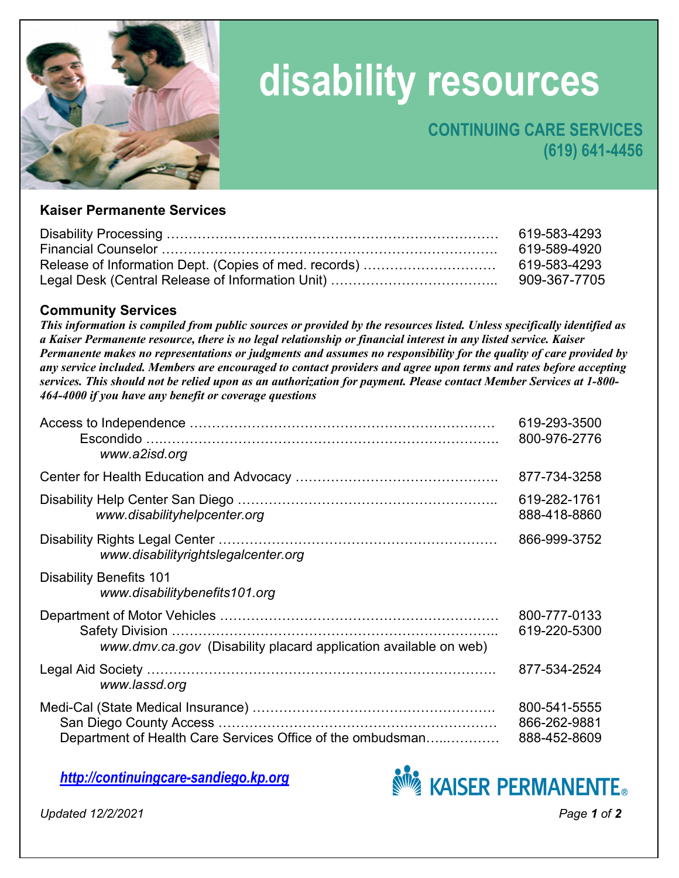

# **disability resources**

## **CONTINUING CARE SERVICES (619) 641-4456**

#### **Kaiser Permanente Services**

| 619-583-4293 |
|--------------|
| 619-589-4920 |
|              |
| 909-367-7705 |

#### **Community Services**

*This information is compiled from public sources or provided by the resources listed. Unless specifically identified as a Kaiser Permanente resource, there is no legal relationship or financial interest in any listed service. Kaiser Permanente makes no representations or judgments and assumes no responsibility for the quality of care provided by any service included. Members are encouraged to contact providers and agree upon terms and rates before accepting services. This should not be relied upon as an authorization for payment. Please contact Member Services at 1-800- 464-4000 if you have any benefit or coverage questions* 

| www.a2isd.org                                                    | 619-293-3500<br>800-976-2776                 |
|------------------------------------------------------------------|----------------------------------------------|
|                                                                  | 877-734-3258                                 |
| www.disabilityhelpcenter.org                                     | 619-282-1761<br>888-418-8860                 |
| www.disabilityrightslegalcenter.org                              | 866-999-3752                                 |
| <b>Disability Benefits 101</b><br>www.disabilitybenefits101.org  |                                              |
| www.dmv.ca.gov (Disability placard application available on web) | 800-777-0133<br>619-220-5300                 |
| www.lassd.org                                                    | 877-534-2524                                 |
| Department of Health Care Services Office of the ombudsman       | 800-541-5555<br>866-262-9881<br>888-452-8609 |

*[http://continuingcare-sandiego.kp.org](http://continuingcare-sandiego.kp.org/)*



*Updated 12/2/2021 Page 1 of 2*